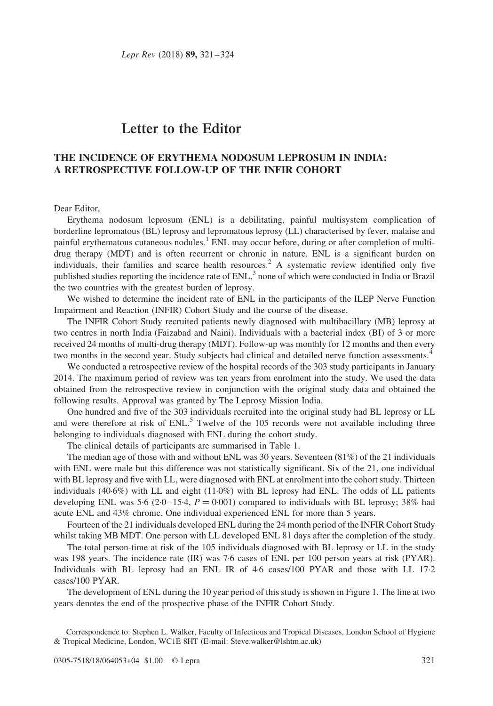# Letter to the Editor

# THE INCIDENCE OF ERYTHEMA NODOSUM LEPROSUM IN INDIA: A RETROSPECTIVE FOLLOW-UP OF THE INFIR COHORT

### Dear Editor,

Erythema nodosum leprosum (ENL) is a debilitating, painful multisystem complication of borderline lepromatous (BL) leprosy and lepromatous leprosy (LL) characterised by fever, malaise and painful erythematous cutaneous nodules.<sup>[1](#page-3-0)</sup> ENL may occur before, during or after completion of multidrug therapy (MDT) and is often recurrent or chronic in nature. ENL is a significant burden on individuals, their families and scarce health resources.<sup>[2](#page-3-0)</sup> A systematic review identified only five published studies reporting the incidence rate of  $ENL<sub>1</sub><sup>3</sup>$  $ENL<sub>1</sub><sup>3</sup>$  $ENL<sub>1</sub><sup>3</sup>$  none of which were conducted in India or Brazil the two countries with the greatest burden of leprosy.

We wished to determine the incident rate of ENL in the participants of the ILEP Nerve Function Impairment and Reaction (INFIR) Cohort Study and the course of the disease.

The INFIR Cohort Study recruited patients newly diagnosed with multibacillary (MB) leprosy at two centres in north India (Faizabad and Naini). Individuals with a bacterial index (BI) of 3 or more received 24 months of multi-drug therapy (MDT). Follow-up was monthly for 12 months and then every two months in the second year. Study subjects had clinical and detailed nerve function assessments.<sup>[4](#page-3-0)</sup>

We conducted a retrospective review of the hospital records of the 303 study participants in January 2014. The maximum period of review was ten years from enrolment into the study. We used the data obtained from the retrospective review in conjunction with the original study data and obtained the following results. Approval was granted by The Leprosy Mission India.

One hundred and five of the 303 individuals recruited into the original study had BL leprosy or LL and were therefore at risk of  $EML<sup>5</sup>$  Twelve of the 105 records were not available including three belonging to individuals diagnosed with ENL during the cohort study.

The clinical details of participants are summarised in [Table 1.](#page-1-0)

The median age of those with and without ENL was 30 years. Seventeen (81%) of the 21 individuals with ENL were male but this difference was not statistically significant. Six of the 21, one individual with BL leprosy and five with LL, were diagnosed with ENL at enrolment into the cohort study. Thirteen individuals (40·6%) with LL and eight (11·0%) with BL leprosy had ENL. The odds of LL patients developing ENL was 5.6 (2.0–15.4,  $P = 0.001$ ) compared to individuals with BL leprosy; 38% had acute ENL and 43% chronic. One individual experienced ENL for more than 5 years.

Fourteen of the 21 individuals developed ENL during the 24 month period of the INFIR Cohort Study whilst taking MB MDT. One person with LL developed ENL 81 days after the completion of the study.

The total person-time at risk of the 105 individuals diagnosed with BL leprosy or LL in the study was 198 years. The incidence rate (IR) was 7·6 cases of ENL per 100 person years at risk (PYAR). Individuals with BL leprosy had an ENL IR of 4·6 cases/100 PYAR and those with LL 17·2 cases/100 PYAR.

The development of ENL during the 10 year period of this study is shown in [Figure 1](#page-1-0). The line at two years denotes the end of the prospective phase of the INFIR Cohort Study.

Correspondence to: Stephen L. Walker, Faculty of Infectious and Tropical Diseases, London School of Hygiene & Tropical Medicine, London, WC1E 8HT (E-mail: Steve.walker@lshtm.ac.uk)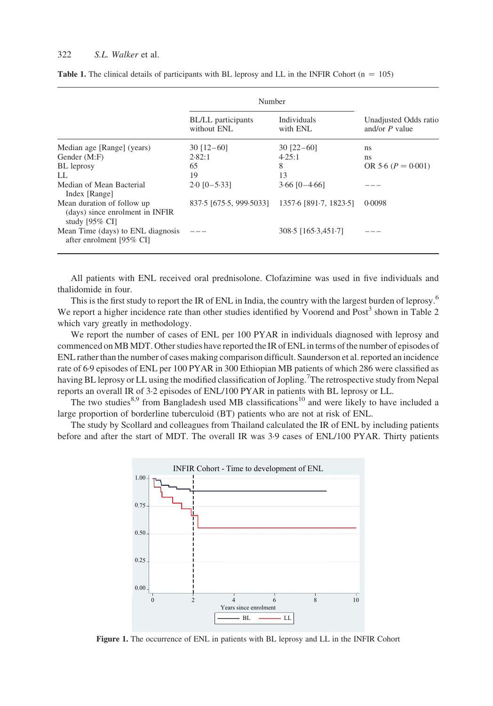#### <span id="page-1-0"></span>322 S.L. Walker et al.

|                                                                                            | Number                                         |                         |                                           |  |
|--------------------------------------------------------------------------------------------|------------------------------------------------|-------------------------|-------------------------------------------|--|
|                                                                                            | BL/LL participants<br>without ENL              | Individuals<br>with ENL | Unadjusted Odds ratio<br>and/or $P$ value |  |
| Median age [Range] (years)                                                                 | $30$ [12-60]                                   | $30$ $[22-60]$          | ns                                        |  |
| Gender (M:F)                                                                               | 2.82:1                                         | 4.25:1                  | ns                                        |  |
| <b>BL</b> leprosy                                                                          | 65                                             | 8                       | OR 5.6 $(P = 0.001)$                      |  |
| LL.                                                                                        | 19                                             | 13                      |                                           |  |
| Median of Mean Bacterial<br>Index [Range]                                                  | $2.0$ [0-5.33]                                 | $3.66$ [0-4.66]         |                                           |  |
| Mean duration of follow up<br>(days) since enrolment in INFIR<br>study $[95\% \text{ CI}]$ | 837.5 [675.5, 999.5033] 1357.6 [891.7, 1823.5] |                         | 0.0098                                    |  |
| Mean Time (days) to ENL diagnosis<br>after enrolment [95% CI]                              |                                                | $308.5$ [165.3,451.7]   |                                           |  |

| <b>Table 1.</b> The clinical details of participants with BL leprosy and LL in the INFIR Cohort $(n = 105)$ |  |  |  |
|-------------------------------------------------------------------------------------------------------------|--|--|--|
|-------------------------------------------------------------------------------------------------------------|--|--|--|

All patients with ENL received oral prednisolone. Clofazimine was used in five individuals and thalidomide in four.

This is the first study to report the IR of ENL in India, the country with the largest burden of leprosy.<sup>[6](#page-3-0)</sup> We report a higher incidence rate than other studies identified by Voorend and Post<sup>[3](#page-3-0)</sup> shown in [Table 2](#page-2-0) which vary greatly in methodology.

We report the number of cases of ENL per 100 PYAR in individuals diagnosed with leprosy and commenced on MB MDT. Other studies have reported the IR of ENL in terms of the number of episodes of ENL rather than the number of cases making comparison difficult. Saunderson et al. reported an incidence rate of 6.9 episodes of ENL per 100 PYAR in 300 Ethiopian MB patients of which 286 were classified as having BL leprosy or LL using the modified classification of Jopling.<sup>[7](#page-3-0)</sup>The retrospective study from Nepal reports an overall IR of 3·2 episodes of ENL/100 PYAR in patients with BL leprosy or LL.

The two studies<sup>[8,9](#page-3-0)</sup> from Bangladesh used MB classifications<sup>[10](#page-3-0)</sup> and were likely to have included a large proportion of borderline tuberculoid (BT) patients who are not at risk of ENL.

The study by Scollard and colleagues from Thailand calculated the IR of ENL by including patients before and after the start of MDT. The overall IR was 3.9 cases of ENL/100 PYAR. Thirty patients



Figure 1. The occurrence of ENL in patients with BL leprosy and LL in the INFIR Cohort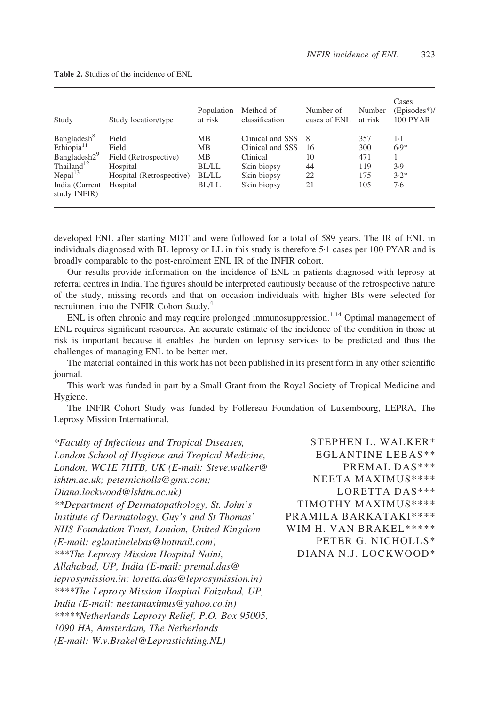| Study                          | Study location/type      | Population<br>at risk | Method of<br>classification | Number of<br>cases of ENL | Number<br>at risk | Cases<br>$(E$ pisodes* $)/$<br><b>100 PYAR</b> |
|--------------------------------|--------------------------|-----------------------|-----------------------------|---------------------------|-------------------|------------------------------------------------|
| Bangladesh <sup>8</sup>        | Field                    | MВ                    | Clinical and SSS            | -8                        | 357               | $1-1$                                          |
| Ethiopia <sup>11</sup>         | Field                    | MB                    | Clinical and SSS            | 16                        | 300               | $6.9*$                                         |
| Bangladesh2 <sup>9</sup>       | Field (Retrospective)    | MB                    | Clinical                    | 10                        | 471               |                                                |
| Thailand <sup>12</sup>         | Hospital                 | <b>BL/LL</b>          | Skin biopsy                 | 44                        | 119               | 3.9                                            |
| Nepal <sup>13</sup>            | Hospital (Retrospective) | <b>BL/LL</b>          | Skin biopsy                 | 22                        | 175               | $3.2*$                                         |
| India (Current<br>study INFIR) | Hospital                 | <b>BL/LL</b>          | Skin biopsy                 | 21                        | 105               | 7.6                                            |

<span id="page-2-0"></span>Table 2. Studies of the incidence of ENL

developed ENL after starting MDT and were followed for a total of 589 years. The IR of ENL in individuals diagnosed with BL leprosy or LL in this study is therefore 5·1 cases per 100 PYAR and is broadly comparable to the post-enrolment ENL IR of the INFIR cohort.

Our results provide information on the incidence of ENL in patients diagnosed with leprosy at referral centres in India. The figures should be interpreted cautiously because of the retrospective nature of the study, missing records and that on occasion individuals with higher BIs were selected for recruitment into the INFIR Cohort Study.<sup>[4](#page-3-0)</sup>

ENL is often chronic and may require prolonged immunosuppression.<sup>1,14</sup> Optimal management of ENL requires significant resources. An accurate estimate of the incidence of the condition in those at risk is important because it enables the burden on leprosy services to be predicted and thus the challenges of managing ENL to be better met.

The material contained in this work has not been published in its present form in any other scientific journal.

This work was funded in part by a Small Grant from the Royal Society of Tropical Medicine and Hygiene.

The INFIR Cohort Study was funded by Follereau Foundation of Luxembourg, LEPRA, The Leprosy Mission International.

\*Faculty of Infectious and Tropical Diseases, London School of Hygiene and Tropical Medicine, London, WC1E 7HTB, UK (E-mail: Steve.walker@ lshtm.ac.uk; peternicholls@gmx.com; Diana.lockwood@lshtm.ac.uk) \*\*Department of Dermatopathology, St. John's Institute of Dermatology, Guy's and St Thomas' NHS Foundation Trust, London, United Kingdom (E-mail: eglantinelebas@hotmail.com) \*\*\*The Leprosy Mission Hospital Naini, Allahabad, UP, India (E-mail: premal.das@ leprosymission.in; loretta.das@leprosymission.in) \*\*\*\*The Leprosy Mission Hospital Faizabad, UP, India (E-mail: neetamaximus@yahoo.co.in) \*\*\*\*\*Netherlands Leprosy Relief, P.O. Box 95005, 1090 HA, Amsterdam, The Netherlands (E-mail: W.v.Brakel@Leprastichting.NL)

STEPHEN L. WALKER\* EGLANTINE LEBAS\*\* PREMAL DAS\*\*\* NEETA MAXIMUS\*\*\*\* LORETTA DAS\*\*\* TIMOTHY MAXIMUS\*\*\*\* PRAMILA BARKATAKI\*\*\*\* WIM H. VAN BRAKEL\*\*\*\*\* PETER G. NICHOLLS\* DIANA N.J. LOCKWOOD\*